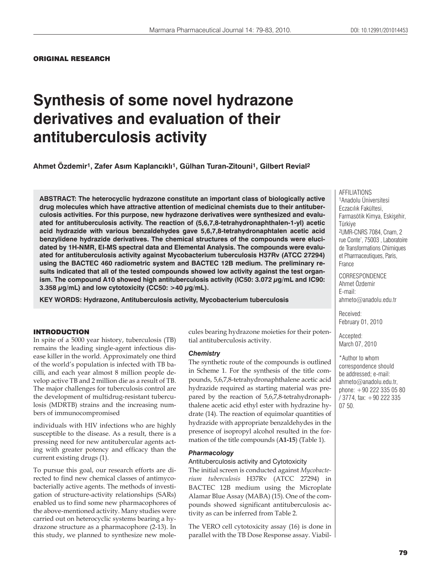# **Synthesis of some novel hydrazone derivatives and evaluation of their antituberculosis activity**

**Ahmet Özdemir1, Zafer As×m Kaplanc×kl×1, Gülhan Turan-Zitouni1, Gilbert Revial2**

**ABSTRACT: The heterocyclic hydrazone constitute an important class of biologically active drug molecules which have attractive attention of medicinal chemists due to their antituberculosis activities. For this purpose, new hydrazone derivatives were synthesized and evaluated for antituberculosis activity. The reaction of (5,6,7,8-tetrahydronaphthalen-1-yl) acetic acid hydrazide with various benzaldehydes gave 5,6,7,8-tetrahydronaphtalen acetic acid benzylidene hydrazide derivatives. The chemical structures of the compounds were elucidated by 1H-NMR, EI-MS spectral data and Elemental Analysis. The compounds were evaluated for antituberculosis activity against Mycobacterium tuberculosis H37Rv (ATCC 27294) using the BACTEC 460 radiometric system and BACTEC 12B medium. The preliminary results indicated that all of the tested compounds showed low activity against the test organism. The compound A10 showed high antituberculosis activity (IC50: 3.072 g/mL and IC90:**  3.358  $\mu$ g/mL) and low cytotoxicity (CC50:  $>$ 40  $\mu$ g/mL).

**KEY WORDS: Hydrazone, Antituberculosis activity, Mycobacterium tuberculosis**

## INTRODUCTION

In spite of a 5000 year history, tuberculosis (TB) remains the leading single-agent infectious disease killer in the world. Approximately one third of the world's population is infected with TB bacilli, and each year almost 8 million people develop active TB and 2 million die as a result of TB. The major challenges for tuberculosis control are the development of multidrug-resistant tuberculosis (MDRTB) strains and the increasing numbers of immunocompromised

individuals with HIV infections who are highly susceptible to the disease. As a result, there is a pressing need for new antitubercular agents acting with greater potency and efficacy than the current existing drugs (1).

To pursue this goal, our research efforts are directed to find new chemical classes of antimycobacterially active agents. The methods of investigation of structure-activity relationships (SARs) enabled us to find some new pharmacophores of the above-mentioned activity. Many studies were carried out on heterocyclic systems bearing a hydrazone structure as a pharmacophore (2-13). In this study, we planned to synthesize new molecules bearing hydrazone moieties for their potential antituberculosis activity.

#### *Chemistry*

The synthetic route of the compounds is outlined in Scheme 1. For the synthesis of the title compounds, 5,6,7,8-tetrahydronaphthalene acetic acid hydrazide required as starting material was prepared by the reaction of 5,6,7,8-tetrahydronaphthalene acetic acid ethyl ester with hydrazine hydrate (14). The reaction of equimolar quantities of hydrazide with appropriate benzaldehydes in the presence of isopropyl alcohol resulted in the formation of the title compounds (**A1-15**) (Table 1).

#### *Pharmacology*

# Antituberculosis activity and Cytotoxicity

The initial screen is conducted against *Mycobacterium tuberculosis* H37Rv (ATCC 27294) in BACTEC 12B medium using the Microplate Alamar Blue Assay (MABA) (15). One of the compounds showed significant antituberculosis activity as can be inferred from Table 2.

The VERO cell cytotoxicity assay (16) is done in parallel with the TB Dose Response assay. ViabilAFFILIATIONS 1Anadolu Üniversitesi Eczacılık Fakültesi, Farmasötik Kimya, Eskisehir, Türkiye 2UMR-CNRS 7084, Cnam, 2 rue Conte', 75003 , Laboratoire de Transformations Chimiques et Pharmaceutiques, Paris, France

CORRESPONDENCE Ahmet Özdemir E-mail: ahmeto@anadolu.edu.tr

Received: February 01, 2010

Accepted: March 07, 2010

\*Author to whom correspondence should be addressed; e-mail: ahmeto@anadolu.edu.tr, phone: +90 222 335 05 80 / 3774, fax: +90 222 335 07 50.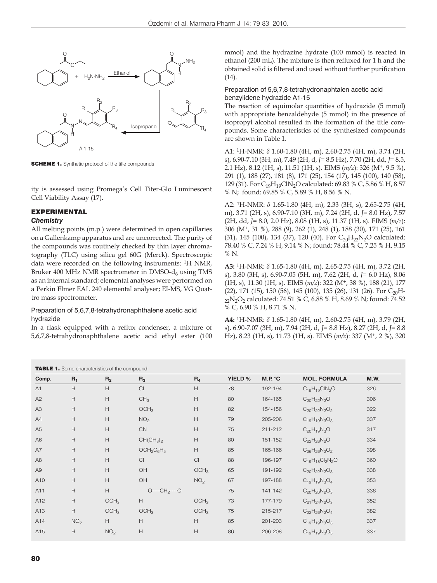

**SCHEME 1.** Synthetic protocol of the title compounds

ity is assessed using Promega's Cell Titer-Glo Luminescent Cell Viability Assay (17).

# EXPERIMENTAL

#### *Chemistry*

All melting points (m.p.) were determined in open capillaries on a Gallenkamp apparatus and are uncorrected. The purity of the compounds was routinely checked by thin layer chromatography (TLC) using silica gel 60G (Merck). Spectroscopic data were recorded on the following instruments: 1H NMR, Bruker 400 MHz NMR spectrometer in DMSO- $d_6$  using TMS as an internal standard; elemental analyses were performed on a Perkin Elmer EAL 240 elemental analyser; EI-MS, VG Quattro mass spectrometer.

# Preparation of 5,6,7,8-tetrahydronaphthalene acetic acid hydrazide

In a flask equipped with a reflux condenser, a mixture of 5,6,7,8-tetrahydronaphthalene acetic acid ethyl ester (100 mmol) and the hydrazine hydrate (100 mmol) is reacted in ethanol (200 mL). The mixture is then refluxed for 1 h and the obtained solid is filtered and used without further purification (14).

## Preparation of 5,6,7,8-tetrahydronaphtalen acetic acid benzylidene hydrazide A1-15

The reaction of equimolar quantities of hydrazide (5 mmol) with appropriate benzaldehyde (5 mmol) in the presence of isopropyl alcohol resulted in the formation of the title compounds. Some characteristics of the synthesized compounds are shown in Table 1.

A1: 1H-NMR: *δ* 1.60-1.80 (4H, m), 2.60-2.75 (4H, m), 3.74 (2H, s), 6.90-7.10 (3H, m), 7.49 (2H, d, *J*= 8.5 Hz), 7.70 (2H, dd, *J*= 8.5, 2.1 Hz), 8.12 (1H, s), 11.51 (1H, s). EIMS (*m/z*): 326 (M+, 9.5 %), 291 (1), 188 (27), 181 (8), 171 (25), 154 (17), 145 (100), 140 (58), 129 (31). For C<sub>19</sub>H<sub>19</sub>ClN<sub>2</sub>O calculated: 69.83 % C, 5.86 % H, 8.57 % N; found: 69.85 % C, 5.89 % H, 8.56 % N.

A2: 1H-NMR: *δ* 1.65-1.80 (4H, m), 2.33 (3H, s), 2.65-2.75 (4H, m), 3.71 (2H, s), 6.90-7.10 (3H, m), 7.24 (2H, d, *J*= 8.0 Hz), 7.57 (2H, dd, *J*= 8.0, 2.0 Hz), 8.08 (1H, s), 11.37 (1H, s). EIMS (*m/z*): 306 (M+, 31 %), 288 (9), 262 (1), 248 (1), 188 (30), 171 (25), 161 (31), 145 (100), 134 (37), 120 (40). For  $C_{20}H_{22}N_{2}O$  calculated: 78.40 % C, 7.24 % H, 9.14 % N; found: 78.44 % C, 7.25 % H, 9.15 % N.

**A3:** 1H-NMR: *δ* 1.65-1.80 (4H, m), 2.65-2.75 (4H, m), 3.72 (2H, s), 3.80 (3H, s), 6.90-7.05 (5H, m), 7.62 (2H, d, *J*= 6.0 Hz), 8.06 (1H, s), 11.30 (1H, s). EIMS (*m/z*): 322 (M+, 38 %), 188 (21), 177  $(22)$ , 171  $(15)$ , 150  $(56)$ , 145  $(100)$ , 135  $(26)$ , 131  $(26)$ . For C<sub>20</sub>H-<sub>22</sub>N<sub>2</sub>O<sub>2</sub> calculated: 74.51 % C, 6.88 % H, 8.69 % N; found: 74.52 % C, 6.90 % H, 8.71 % N.

**A4:** 1H-NMR: *δ* 1.65-1.80 (4H, m), 2.60-2.75 (4H, m), 3.79 (2H, s), 6.90-7.07 (3H, m), 7.94 (2H, d, *J*= 8.8 Hz), 8.27 (2H, d, *J*= 8.8 Hz), 8.23 (1H, s), 11.73 (1H, s). EIMS (*m/z*): 337 (M+, 2 %), 320

|                | <b>TABLE 1.</b> Some characteristics of the compound |                           |                  |                           |         |         |                        |      |  |
|----------------|------------------------------------------------------|---------------------------|------------------|---------------------------|---------|---------|------------------------|------|--|
| Comp.          | $R_1$                                                | R <sub>2</sub>            | $R_3$            | $R_4$                     | YIELD % | M.P. °C | <b>MOL. FORMULA</b>    | M.W. |  |
| A1             | H                                                    | H                         | Cl               | H                         | 78      | 192-194 | $C_{19}H_{19}CIN_2O$   | 326  |  |
| A2             | H                                                    | H                         | CH <sub>3</sub>  | H                         | 80      | 164-165 | $C_{20}H_{22}N_2O$     | 306  |  |
| A3             | H                                                    | H                         | OCH <sub>3</sub> | H                         | 82      | 154-156 | $C_{20}H_{22}N_2O_2$   | 322  |  |
| A4             | H                                                    | H                         | NO <sub>2</sub>  | H                         | 79      | 205-206 | $C_{19}H_{19}N_3O_3$   | 337  |  |
| A <sub>5</sub> | $\boldsymbol{\mathsf{H}}$                            | $\boldsymbol{\mathsf{H}}$ | <b>CN</b>        | $\boldsymbol{\mathsf{H}}$ | 75      | 211-212 | $C_{20}H_{19}N_3O$     | 317  |  |
| A6             | Н                                                    | H                         | $CH(CH_3)_2$     | $\boldsymbol{\mathsf{H}}$ | 80      | 151-152 | $C_{22}H_{26}N_2O$     | 334  |  |
| A7             | Н                                                    | H                         | $OCH2C6H5$       | $\boldsymbol{\mathsf{H}}$ | 85      | 165-166 | $C_{26}H_{26}N_2O_2$   | 398  |  |
| A8             | $\boldsymbol{\mathsf{H}}$                            | H                         | Cl               | Cl                        | 88      | 196-197 | $C_{19}H_{18}Cl_2N_2O$ | 360  |  |
| A <sub>9</sub> | Н                                                    | $\mathsf{H}$              | OH               | OCH <sub>3</sub>          | 65      | 191-192 | $C_{20}H_{22}N_2O_3$   | 338  |  |
| A10            | Н                                                    | $\mathsf{H}$              | OH               | NO <sub>2</sub>           | 67      | 197-188 | $C_{19}H_{19}N_3O_4$   | 353  |  |
| A11            | H                                                    | H                         | $O---CH2---O$    |                           | 75      | 141-142 | $C_{20}H_{20}N_2O_3$   | 336  |  |
| A12            | Н                                                    | OCH <sub>3</sub>          | H                | OCH <sub>3</sub>          | 73      | 177-179 | $C_{21}H_{24}N_2O_3$   | 352  |  |
| A13            | H                                                    | OCH <sub>3</sub>          | OCH <sub>3</sub> | OCH <sub>3</sub>          | 75      | 215-217 | $C_{22}H_{26}N_2O_4$   | 382  |  |
| A14            | NO <sub>2</sub>                                      | H                         | H                | H                         | 85      | 201-203 | $C_{19}H_{19}N_3O_3$   | 337  |  |
| A15            | H                                                    | NO <sub>2</sub>           | H                | $\boldsymbol{\mathsf{H}}$ | 86      | 206-208 | $C_{19}H_{19}N_3O_3$   | 337  |  |
|                |                                                      |                           |                  |                           |         |         |                        |      |  |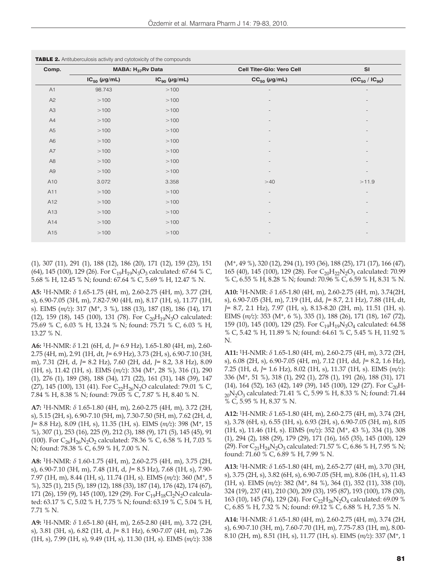| Comp.          |                   | MABA: H <sub>37</sub> Rv Data | Cell Titer-Glo: Vero Cell | SI<br>$(CC_{50} / IC_{90})$ |  |
|----------------|-------------------|-------------------------------|---------------------------|-----------------------------|--|
|                | $IC_{50}$ (µg/mL) | $IC_{90}$ (µg/mL)             | $CC_{50}$ (µg/mL)         |                             |  |
| A1             | 98.743            | >100                          | $\overline{\phantom{a}}$  | $\overline{\phantom{a}}$    |  |
| A2             | >100              | >100                          |                           | $\overline{\phantom{a}}$    |  |
| A <sub>3</sub> | >100              | >100                          | ٠                         | $\overline{\phantom{a}}$    |  |
| A4             | >100              | >100                          | $\overline{\phantom{0}}$  | $\overline{\phantom{a}}$    |  |
| A <sub>5</sub> | >100              | >100                          | $\overline{\phantom{0}}$  | $\overline{\phantom{a}}$    |  |
| A <sub>6</sub> | >100              | >100                          | $\overline{\phantom{a}}$  | $\overline{\phantom{a}}$    |  |
| A7             | >100              | >100                          | $\overline{\phantom{a}}$  | $\overline{\phantom{a}}$    |  |
| A8             | >100              | >100                          | $\overline{\phantom{a}}$  | $\overline{\phantom{a}}$    |  |
| A <sub>9</sub> | >100              | >100                          | $\overline{\phantom{a}}$  | $\overline{\phantom{a}}$    |  |
| A10            | 3.072             | 3.358                         | >40                       | >11.9                       |  |
| A11            | >100              | >100                          | $\overline{\phantom{a}}$  | $\overline{\phantom{a}}$    |  |
| A12            | >100              | >100                          |                           | $\overline{\phantom{a}}$    |  |
| A13            | >100              | >100                          |                           |                             |  |
| A14            | >100              | >100                          |                           |                             |  |
| A15            | >100              | >100                          | $\overline{\phantom{a}}$  | $\overline{\phantom{a}}$    |  |

(1), 307 (11), 291 (1), 188 (12), 186 (20), 171 (12), 159 (23), 151 (64), 145 (100), 129 (26). For  $C_{19}H_{19}N_3O_3$  calculated: 67.64 % C, 5.68 % H, 12.45 % N; found: 67.64 % C, 5.69 % H, 12.47 % N.

**A5:** 1H-NMR: *δ* 1.65-1.75 (4H, m), 2.60-2.75 (4H, m), 3.77 (2H, s), 6.90-7.05 (3H, m), 7.82-7.90 (4H, m), 8.17 (1H, s), 11.77 (1H, s). EIMS (*m/z*): 317 (M+, 3 %), 188 (13), 187 (18), 186 (14), 171 (12), 159 (18), 145 (100), 131 (78). For  $C_{20}H_{19}N_3O$  calculated: 75.69 % C, 6.03 % H, 13.24 % N; found: 75.71 % C, 6.03 % H, 13.27 % N.

**A6:** 1H-NMR: *δ* 1.21 (6H, d, *J*= 6.9 Hz), 1.65-1.80 (4H, m), 2.60- 2.75 (4H, m), 2.91 (1H, dt, *J*= 6.9 Hz), 3.73 (2H, s), 6.90-7.10 (3H, m), 7.31 (2H, d, *J*= 8.2 Hz), 7.60 (2H, dd, *J*= 8.2, 3.8 Hz), 8.09 (1H, s), 11.42 (1H, s). EIMS (*m/z*): 334 (M+, 28 %), 316 (1), 290 (1), 276 (1), 189 (38), 188 (34), 171 (22), 161 (31), 148 (39), 147 (27), 145 (100), 131 (41). For C<sub>22</sub>H<sub>26</sub>N<sub>2</sub>O calculated: 79.01 % C, 7.84 % H, 8.38 % N; found: 79.05 % C, 7.87 % H, 8.40 % N.

**A7:** 1H-NMR: *δ* 1.65-1.80 (4H, m), 2.60-2.75 (4H, m), 3.72 (2H, s), 5.15 (2H, s), 6.90-7.10 (5H, m), 7.30-7.50 (5H, m), 7.62 (2H, d, *J*= 8.8 Hz), 8.09 (1H, s), 11.35 (1H, s). EIMS (*m/z*): 398 (M+, 15 %), 307 (1), 253 (16), 225 (9), 212 (3), 188 (9), 171 (5), 145 (45), 91 (100). For  $C_{26}H_{26}N_2O_2$  calculated: 78.36 % C, 6.58 % H, 7.03 % N; found: 78.38 % C, 6.59 % H, 7.00 % N.

**A8:** 1H-NMR: *δ* 1.60-1.75 (4H, m), 2.60-2.75 (4H, m), 3.75 (2H, s), 6.90-7.10 (3H, m), 7.48 (1H, d, *J*= 8.5 Hz), 7.68 (1H, s), 7.90- 7.97 (1H, m), 8.44 (1H, s), 11.74 (1H, s). EIMS (*m/z*): 360 (M+, 5 %), 325 (1), 215 (5), 189 (12), 188 (33), 187 (14), 176 (42), 174 (67), 171 (26), 159 (9), 145 (100), 129 (29). For  $C_{19}H_{18}Cl_2N_2O$  calculated: 63.17 % C, 5.02 % H, 7.75 % N; found: 63.19 % C, 5.04 % H, 7.71 % N.

**A9:** 1H-NMR: *δ* 1.65-1.80 (4H, m), 2.65-2.80 (4H, m), 3.72 (2H, s), 3.81 (3H, s), 6.82 (1H, d, *J*= 8.1 Hz), 6.90-7.07 (4H, m), 7.26 (1H, s), 7.99 (1H, s), 9.49 (1H, s), 11.30 (1H, s). EIMS (*m/z*): 338

(M+, 49 %), 320 (12), 294 (1), 193 (36), 188 (25), 171 (17), 166 (47), 165 (40), 145 (100), 129 (28). For  $C_{20}H_{22}N_2O_3$  calculated: 70.99 % C, 6.55 % H, 8.28 % N; found: 70.96 % C, 6.59 % H, 8.31 % N.

**A10:** 1H-NMR: *δ* 1.65-1.80 (4H, m), 2.60-2.75 (4H, m), 3.74(2H, s), 6.90-7.05 (3H, m), 7.19 (1H, dd, *J*= 8.7, 2.1 Hz), 7.88 (1H, dt, *J*= 8.7, 2.1 Hz), 7.97 (1H, s), 8.13-8.20 (2H, m), 11.51 (1H, s). EIMS (*m/z*): 353 (M+, 6 %), 335 (1), 188 (26), 171 (18), 167 (72), 159 (10), 145 (100), 129 (25). For C<sub>19</sub>H<sub>19</sub>N<sub>3</sub>O<sub>4</sub> calculated: 64.58 % C, 5.42 % H, 11.89 % N; found: 64.61 % C, 5.45 % H, 11.92 % N.

**A11:** 1H-NMR: *δ* 1.65-1.80 (4H, m), 2.60-2.75 (4H, m), 3.72 (2H, s), 6.08 (2H, s), 6.90-7.05 (4H, m), 7.12 (1H, dd, *J*= 8.2, 1.6 Hz), 7.25 (1H, d, *J*= 1.6 Hz), 8.02 (1H, s), 11.37 (1H, s). EIMS (*m/z*): 336 (M+, 51 %), 318 (1), 292 (1), 278 (1), 191 (26), 188 (31), 171 (14), 164 (52), 163 (42), 149 (39), 145 (100), 129 (27). For  $C_{20}H-$ <sub>20</sub>N<sub>2</sub>O<sub>3</sub> calculated: 71.41 % C, 5.99 % H, 8.33 % N; found: 71.44 % C, 5.95 % H, 8.37 % N.

**A12:** 1H-NMR: *δ* 1.65-1.80 (4H, m), 2.60-2.75 (4H, m), 3.74 (2H, s), 3.78 (6H, s), 6.55 (1H, s), 6.93 (2H, s), 6.90-7.05 (3H, m), 8.05 (1H, s), 11.46 (1H, s). EIMS (*m/z*): 352 (M+, 43 %), 334 (1), 308 (1), 294 (2), 188 (29), 179 (29), 171 (16), 165 (35), 145 (100), 129 (29). For  $C_{21}H_{24}N_2O_3$  calculated: 71.57 % C, 6.86 % H, 7.95 % N; found: 71.60 % C, 6.89 % H, 7.99 % N.

**A13:** 1H-NMR: *δ* 1.65-1.80 (4H, m), 2.65-2.77 (4H, m), 3.70 (3H, s), 3.75 (2H, s), 3.82 (6H, s), 6.90-7.05 (5H, m), 8.06 (1H, s), 11.43 (1H, s). EIMS (*m/z*): 382 (M+, 84 %), 364 (1), 352 (11), 338 (10), 324 (19), 237 (41), 210 (30), 209 (33), 195 (87), 193 (100), 178 (30), 163 (10), 145 (74), 129 (24). For  $C_{22}H_{26}N_2O_4$  calculated: 69.09 % C, 6.85 % H, 7.32 % N; found: 69.12 % C, 6.88 % H, 7.35 % N.

**A14:** 1H-NMR: *δ* 1.65-1.80 (4H, m), 2.60-2.75 (4H, m), 3.74 (2H, s), 6.90-7.10 (3H, m), 7.60-7.70 (1H, m), 7.75-7.83 (1H, m), 8.00- 8.10 (2H, m), 8.51 (1H, s), 11.77 (1H, s). EIMS (*m/z*): 337 (M+, 1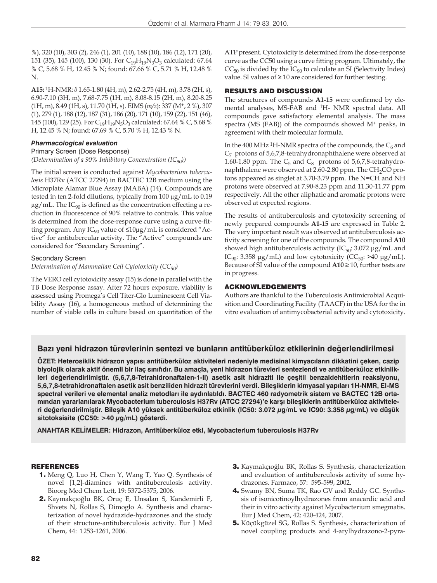%), 320 (10), 303 (2), 246 (1), 201 (10), 188 (10), 186 (12), 171 (20), 151 (35), 145 (100), 130 (30). For C<sub>19</sub>H<sub>19</sub>N<sub>3</sub>O<sub>3</sub> calculated: 67.64 % C, 5.68 % H, 12.45 % N; found: 67.66 % C, 5.71 % H, 12.48 % N.

**A15:** 1H-NMR: *δ* 1.65-1.80 (4H, m), 2.62-2.75 (4H, m), 3.78 (2H, s), 6.90-7.10 (3H, m), 7.68-7.75 (1H, m), 8.08-8.15 (2H, m), 8.20-8.25 (1H, m), 8.49 (1H, s), 11.70 (1H, s). EIMS (*m/z*): 337 (M+, 2 %), 307 (1), 279 (1), 188 (12), 187 (31), 186 (20), 171 (10), 159 (22), 151 (46), 145 (100), 129 (25). For C<sub>19</sub>H<sub>19</sub>N<sub>3</sub>O<sub>3</sub> calculated: 67.64 % C, 5.68 % H, 12.45 % N; found: 67.69 % C, 5.70 % H, 12.43 % N.

## *Pharmacological evaluation*

Primary Screen (Dose Response)

*(Determination of a 90% Inhibitory Concentration (IC90))*

The initial screen is conducted against *Mycobacterium tuberculosis* H37Rv (ATCC 27294) in BACTEC 12B medium using the Microplate Alamar Blue Assay (MABA) (14). Compounds are tested in ten 2-fold dilutions, typically from 100 μg/mL to 0.19  $\mu$ g/mL. The IC<sub>90</sub> is defined as the concentration effecting a reduction in fluorescence of 90% relative to controls. This value is determined from the dose-response curve using a curve-fitting program. Any  $IC_{90}$  value of  $\leq 10 \mu g/mL$  is considered "Active" for antitubercular activity. The "Active" compounds are considered for "Secondary Screening".

#### Secondary Screen

#### *Determination of Mammalian Cell Cytotoxicity (CC50)*

The VERO cell cytotoxicity assay (15) is done in parallel with the TB Dose Response assay. After 72 hours exposure, viability is assessed using Promega's Cell Titer-Glo Luminescent Cell Viability Assay (16), a homogeneous method of determining the number of viable cells in culture based on quantitation of the ATP present. Cytotoxicity is determined from the dose-response curve as the CC50 using a curve fitting program. Ultimately, the  $CC_{50}$  is divided by the  $IC_{90}$  to calculate an SI (Selectivity Index) value. SI values of  $\geq 10$  are considered for further testing.

#### RESULTS AND DISCUSSION

The structures of compounds **A1-15** were confirmed by elemental analyses, MS-FAB and 1H- NMR spectral data. All compounds gave satisfactory elemental analysis. The mass spectra (MS (FAB)) of the compounds showed M+ peaks, in agreement with their molecular formula.

In the 400 MHz <sup>1</sup>H-NMR spectra of the compounds, the  $C_6$  and  $C_7$  protons of 5,6,7,8-tetrahydronaphthalene were observed at 1.60-1.80 ppm. The  $C_5$  and  $C_8$  protons of 5,6,7,8-tetrahydronaphthalene were observed at 2.60-2.80 ppm. The CH<sub>2</sub>CO protons appeared as singlet at 3.70-3.79 ppm. The N=CH and NH protons were observed at 7.90-8.23 ppm and 11.30-11.77 ppm respectively. All the other aliphatic and aromatic protons were observed at expected regions.

The results of antituberculosis and cytotoxicity screening of newly prepared compounds **A1-15** are expressed in Table 2. The very important result was observed at antituberculosis activity screening for one of the compounds. The compound **A10** showed high antituberculosis activity  $(IC_{50}: 3.072 \mu g/mL$  and IC<sub>90</sub>: 3.358 μg/mL) and low cytotoxicity (CC<sub>50</sub>: >40 μg/mL). Because of SI value of the compound **A10** ≥ 10, further tests are in progress.

#### ACKNOWLEDGEMENTS

Authors are thankful to the Tuberculosis Antimicrobial Acquisition and Coordinating Facility (TAACF) in the USA for the in vitro evaluation of antimycobacterial activity and cytotoxicity.

# **Bazı yeni hidrazon türevlerinin sentezi ve bunların antitüberküloz etkilerinin değerlendirilmesi**

**ÖZET: Heterosiklik hidrazon yapısı antitüberküloz aktiviteleri nedeniyle medisinal kimyacıların dikkatini çeken, cazip biyolojik olarak aktif önemli bir ilaç sınıfıdır. Bu amaçla, yeni hidrazon türevleri sentezlendi ve antitüberküloz etkinlikleri değerlendirilmiştir. (5,6,7,8-Tetrahidronaftalen-1-il) asetik asit hidraziti ile çeşitli benzaldehitlerin reaksiyonu, 5,6,7,8-tetrahidronaftalen asetik asit benziliden hidrazit türevlerini verdi. Bileşiklerin kimyasal yapıları 1H-NMR, EI-MS spectral verileri ve elemental analiz metodları ile aydınlatıldı. BACTEC 460 radyometrik sistem ve BACTEC 12B ortamından yararlanılarak Mycobacterium tuberculosis H37Rv (ATCC 27294)'e karşı bileşiklerin antitüberküloz aktiviteleri değerlendirilmiştir. Bileşik A10 yüksek antitüberküloz etkinlik (IC50: 3.072 μg/mL ve IC90: 3.358 μg/mL) ve düşük sitotoksisite (CC50: >40 μg/mL) gösterdi.**

**ANAHTAR KELİMELER: Hidrazon, Antitüberküloz etki, Mycobacterium tuberculosis H37Rv**

# REFERENCES

- 1. Meng Q, Luo H, Chen Y, Wang T, Yao Q. Synthesis of novel [1,2]-diamines with antituberculosis activity. Bioorg Med Chem Lett, 19: 5372-5375, 2006.
- 2. Kaymakçıoğlu BK, Oruç E, Unsalan S, Kandemirli F, Shvets N, Rollas S, Dimoglo A. Synthesis and characterization of novel hydrazide-hydrazones and the study of their structure-antituberculosis activity. Eur J Med Chem, 44: 1253-1261, 2006.
- 3. Kaymakçıoğlu BK, Rollas S. Synthesis, characterization and evaluation of antituberculosis activity of some hydrazones. Farmaco, 57: 595-599, 2002.
- 4. Swamy BN, Suma TK, Rao GV and Reddy GC. Synthesis of isonicotinoylhydrazones from anacardic acid and their in vitro activity against Mycobacterium smegmatis. Eur J Med Chem, 42: 420-424, 2007.
- 5. Küçükgüzel SG, Rollas S. Synthesis, characterization of novel coupling products and 4-arylhydrazono-2-pyra-